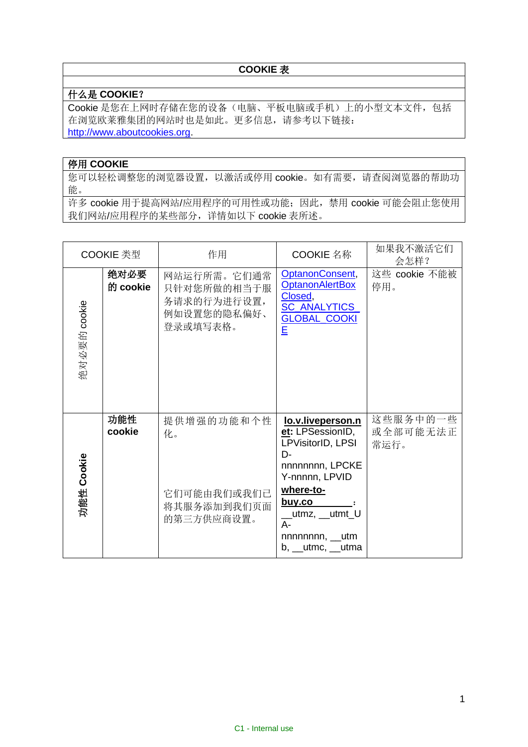## **COOKIE** 表

## 什么是 **COOKIE**?

Cookie 是您在上网时存储在您的设备(电脑、平板电脑或手机)上的小型文本文件,包括 在浏览欧莱雅集团的网站时也是如此。更多信息,请参考以下链接: [http://www.aboutcookies.org.](http://www.aboutcookies.org/)

## 停用 **COOKIE**

您可以轻松调整您的浏览器设置,以激活或停用 cookie。如有需要,请查阅浏览器的帮助功 能。

许多 cookie 用于提高网站/应用程序的可用性或功能;因此,禁用 cookie 可能会阻止您使用 我们网站/应用程序的某些部分,详情如以下 cookie 表所述。

| COOKIE 类型    |                  | 作用                                                                   | COOKIE 名称                                                                                                                                                                                                         | 如果我不激活它们<br>会怎样?             |
|--------------|------------------|----------------------------------------------------------------------|-------------------------------------------------------------------------------------------------------------------------------------------------------------------------------------------------------------------|------------------------------|
| 绝对必要的 cookie | 绝对必要<br>的 cookie | 网站运行所需。它们通常<br>只针对您所做的相当于服<br>务请求的行为进行设置,<br>例如设置您的隐私偏好、<br>登录或填写表格。 | OptanonConsent,<br><b>OptanonAlertBox</b><br>Closed,<br><b>SC_ANALYTICS_</b><br><b>GLOBAL COOKI</b><br>E                                                                                                          | 这些 cookie 不能被<br>停用。         |
| 功能性 Cookie   | 功能性<br>cookie    | 提供增强的功能和个性<br>化。<br>它们可能由我们或我们已<br>将其服务添加到我们页面<br>的第三方供应商设置。         | lo.v.liveperson.n<br>et: LPSessionID,<br>LPVisitorID, LPSI<br>D-<br>nnnnnnnn, LPCKE<br>Y-nnnnn, LPVID<br>where-to-<br><u>buy.co</u><br>__utmz, __utmt_U<br>$A -$<br>nnnnnnn, __utm<br>$b, \_\_$ utmc, $\_\_$ utma | 这些服务中的一些<br>或全部可能无法正<br>常运行。 |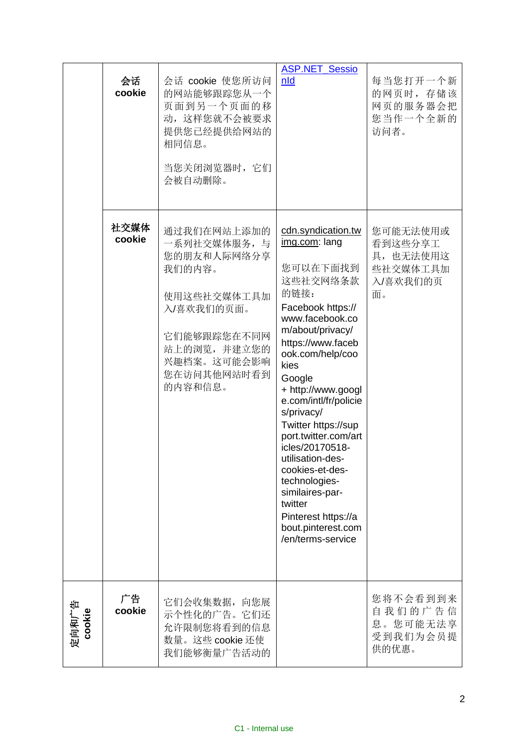|                 | 会话<br>cookie   | 会话 cookie 使您所访问<br>的网站能够跟踪您从一个<br>页面到另一个页面的移<br>动, 这样您就不会被要求<br>提供您已经提供给网站的<br>相同信息。<br>当您关闭浏览器时, 它们<br>会被自动删除。                                          | <b>ASP.NET_Sessio</b><br>nld                                                                                                                                                                                                                                                                                                                                                                                                                                                      | 每当您打开一个新<br>的网页时,存储该<br>网页的服务器会把<br>您当作一个全新的<br>访问者。           |
|-----------------|----------------|----------------------------------------------------------------------------------------------------------------------------------------------------------|-----------------------------------------------------------------------------------------------------------------------------------------------------------------------------------------------------------------------------------------------------------------------------------------------------------------------------------------------------------------------------------------------------------------------------------------------------------------------------------|----------------------------------------------------------------|
|                 | 社交媒体<br>cookie | 通过我们在网站上添加的<br>一系列社交媒体服务, 与<br>您的朋友和人际网络分享<br>我们的内容。<br>使用这些社交媒体工具加<br>入/喜欢我们的页面。<br>它们能够跟踪您在不同网<br>站上的浏览,并建立您的<br>兴趣档案。这可能会影响<br>您在访问其他网站时看到<br>的内容和信息。 | cdn.syndication.tw<br>img.com: lang<br>您可以在下面找到<br>这些社交网络条款<br>的链接:<br>Facebook https://<br>www.facebook.co<br>m/about/privacy/<br>https://www.faceb<br>ook.com/help/coo<br>kies<br>Google<br>+ http://www.googl<br>e.com/intl/fr/policie<br>s/privacy/<br>Twitter https://sup<br>port.twitter.com/art<br>icles/20170518-<br>utilisation-des-<br>cookies-et-des-<br>technologies-<br>similaires-par-<br>twitter<br>Pinterest https://a<br>bout.pinterest.com<br>/en/terms-service | 您可能无法使用或<br>看到这些分享工<br>具, 也无法使用这<br>些社交媒体工具加<br>入/喜欢我们的页<br>面。 |
| 定向和广告<br>cookie | 广告<br>cookie   | 它们会收集数据, 向您展<br>示个性化的广告。它们还<br>允许限制您将看到的信息<br>数量。这些 cookie 还使<br>我们能够衡量广告活动的                                                                             |                                                                                                                                                                                                                                                                                                                                                                                                                                                                                   | 您将不会看到到来<br>自我们的广告信<br>息。您可能无法享<br>受到我们为会员提<br>供的优惠。           |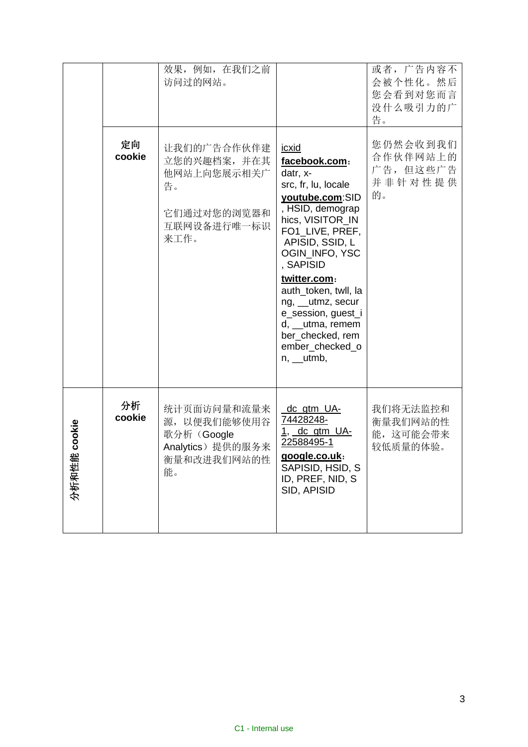|                       | 定向<br>cookie | 效果, 例如, 在我们之前<br>访问过的网站。<br>让我们的广告合作伙伴建<br>立您的兴趣档案,并在其<br>他网站上向您展示相关广<br>告。<br>它们通过对您的浏览器和<br>互联网设备进行唯一标识<br>来工作。 | <u>icxid</u><br>facebook.com:<br>datr, x-<br>src, fr, lu, locale<br>youtube.com:SID<br>, HSID, demograp<br>hics, VISITOR_IN<br>FO1_LIVE, PREF,<br>APISID, SSID, L<br>OGIN_INFO, YSC<br>, SAPISID<br>twitter.com:<br>auth_token, twll, la<br>ng, _utmz, secur<br>e_session, guest_i<br>$d, \underline{\hspace{2cm}}$ utma, remem<br>ber_checked, rem<br>ember_checked_o<br>$n, \underline{\hspace{2cm}}$ utmb, | 或者, 广告内容不<br>会被个性化。然后<br>您会看到对您而言<br>没什么吸引力的广<br>告。<br>您仍然会收到我们<br>合作伙伴网站上的<br>广告,但这些广告<br>并非针对性提供<br>的。 |
|-----------------------|--------------|-------------------------------------------------------------------------------------------------------------------|---------------------------------------------------------------------------------------------------------------------------------------------------------------------------------------------------------------------------------------------------------------------------------------------------------------------------------------------------------------------------------------------------------------|----------------------------------------------------------------------------------------------------------|
| cookie<br>সঁত<br>分析和性 | 分析<br>cookie | 统计页面访问量和流量来<br>源, 以便我们能够使用谷<br>歌分析(Google<br>Analytics) 提供的服务来<br>衡量和改进我们网站的性<br>能。                               | <u>_dc_gtm_UA-</u><br>74428248-<br>$1,$ dc gtm UA-<br>22588495-1<br>google.co.uk:<br>SAPISID, HSID, S<br>ID, PREF, NID, S<br>SID, APISID                                                                                                                                                                                                                                                                      | 我们将无法监控和<br>衡量我们网站的性<br>能, 这可能会带来<br>较低质量的体验。                                                            |